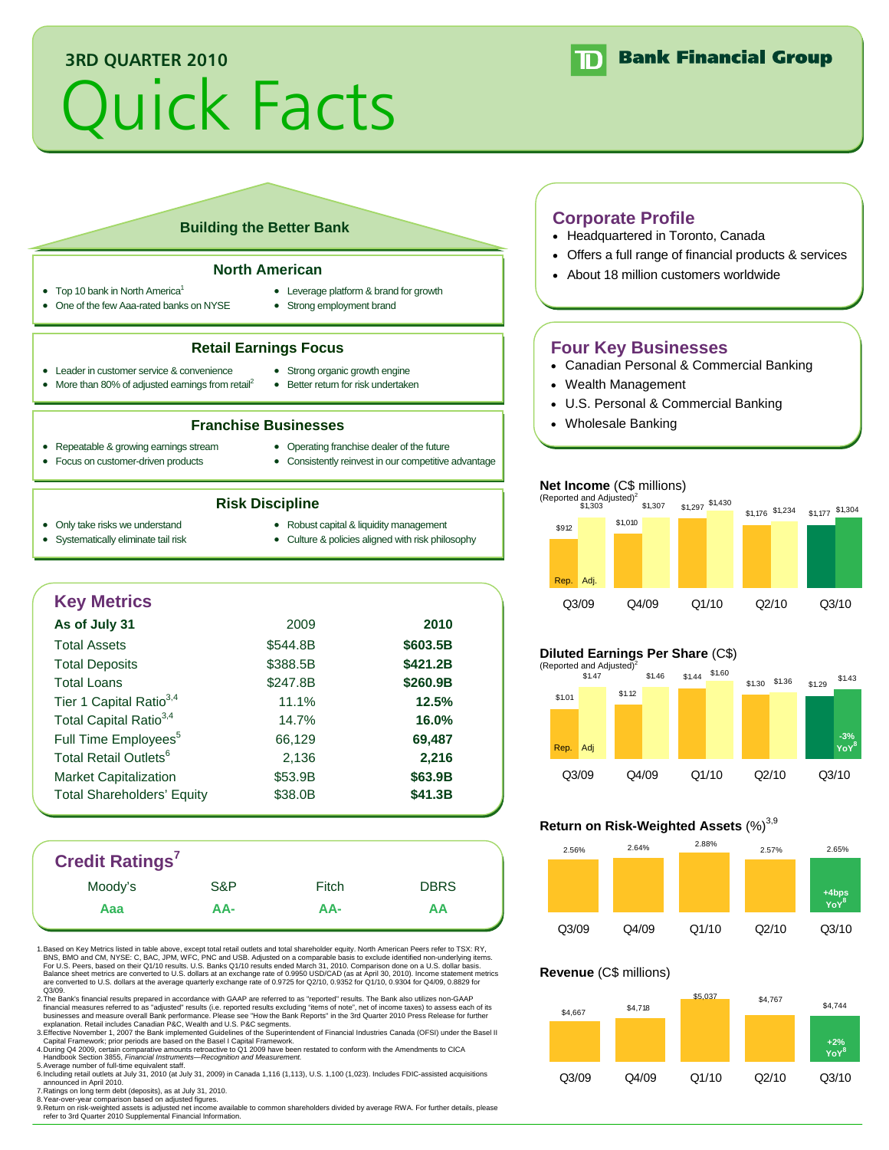# **3RD QUARTER 2010**

# Quick Facts



# **Building the Better Bank**

#### **North American**

- Top 10 bank in North America<sup>1</sup>
- 
- One of the few Aaa-rated banks on NYSE
- Leverage platform & brand for growth • Strong employment brand

#### **Retail Earnings Focus**

- Leader in customer service & convenience
- More than 80% of adjusted earnings from retail<sup>2</sup>
- Strong organic growth engine • Better return for risk undertaken

#### **Franchise Businesses**

- Repeatable & growing earnings stream Focus on customer-driven products
- Operating franchise dealer of the future
- 
- Consistently reinvest in our competitive advantage

#### **Risk Discipline**

- Only take risks we understand
- Robust capital & liquidity management
- Systematically eliminate tail risk
- Culture & policies aligned with risk philosophy
- **Key Metrics As of July 31** 2009 **2010**  Total Assets \$544.8B **\$603.5B** Total Deposits **\$388.5B** \$421.2B Total Loans \$247.8B **\$260.9B** Tier 1 Capital Ratio3,4 11.1% **12.5%** Total Capital Ratio3,4 14.7% **16.0%** Full Time Employees<sup>5</sup> 66,129 **69,487** Total Retail Outlets<sup>6</sup> 2,136 2,216 Market Capitalization  $$53.9B$  **\$63.9B** Total Shareholders' Equity  $$38.0B$   $$41.3B$

# **Credit Ratings7**

| Grean Natiliya |     |       |             |
|----------------|-----|-------|-------------|
| Moody's        | S&P | Fitch | <b>DBRS</b> |
| Aaa            | AA- | AA-   | ΑА          |
|                |     |       |             |

1. Based on Key Metrics listed in table above, except total retail outlets and total shareholder equity. North American Peers refer to TSX: RY, BNS, BMO and CM, NYSE: C, BAC, JPM, WFC, PNC and USB. Adjusted on a comparable basis to exclude identified non-underlying items.<br>For U.S. Peers, based on their Q1/10 results. U.S. Banks Q1/10 results ended March 31, 2010. Balance sheet metrics are converted to U.S. dollars at an exchange rate of 0.9950 USD/CAD (as at April 30, 2010). Income statement metrics<br>are converted to U.S. dollars at the average quarterly exchange rate of 0.9725 for

2.The Bank's financial results prepared in accordance with GAAP are referred to as "reported" results. The Bank also utilizes non-GAAP<br>financial measures referred to as "adjusted" results (i.e. reported results excluding "

3.Effective November 1, 2007 the Bank implemented Guidelines of the Superintendent of Financial Industries Canada (OFSI) under the Basel II<br>- Capital Framework; prior periods are based on the Basel I Capital Framework.<br>4.D

6. Including retail outlets at July 31, 2010 (at July 31, 2009) in Canada 1,116 (1,113), U.S. 1,100 (1,023). Includes FDIC-assisted acquisitions

announced in April 2010.<br>7. Ratings on long term debt (deposits), as at July 31, 2010.<br>8. Yeturn on risk-weighted assets is adjusted figures.<br>9. Return on risk-weighted assets is adjusted net income available to common sha

# **Corporate Profile**

- Headquartered in Toronto, Canada
- Offers a full range of financial products & services
- About 18 million customers worldwide

# **Four Key Businesses**

- Canadian Personal & Commercial Banking
- Wealth Management
- U.S. Personal & Commercial Banking
- Wholesale Banking

# **Net Income** (C\$ millions)



# **Diluted Earnings Per Share** (C\$)



# **Return on Risk-Weighted Assets (%)**<sup>3,9</sup>



# **Revenue** (C\$ millions)